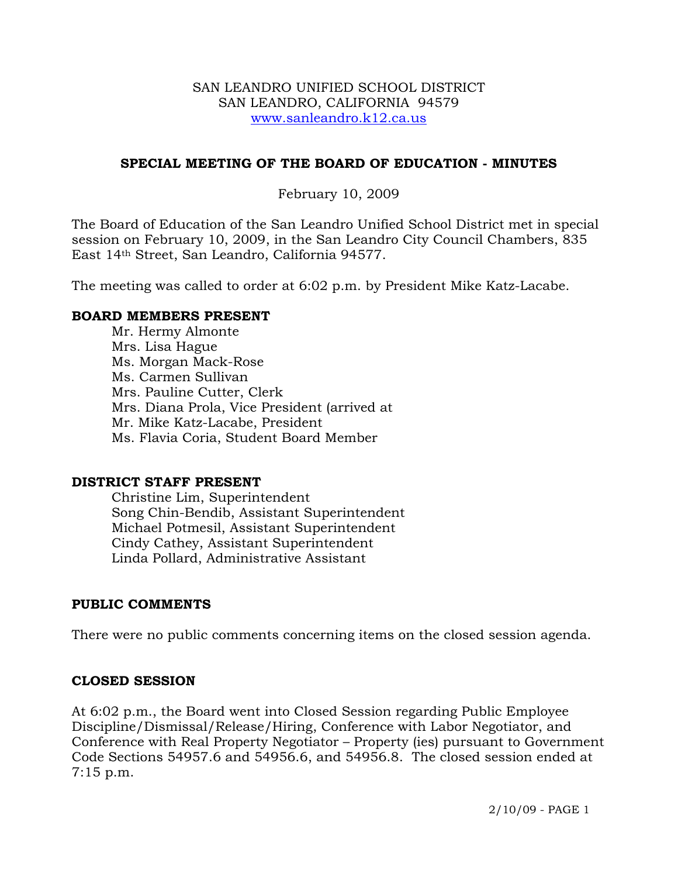#### SAN LEANDRO UNIFIED SCHOOL DISTRICT SAN LEANDRO, CALIFORNIA 94579 www.sanleandro.k12.ca.us

#### **SPECIAL MEETING OF THE BOARD OF EDUCATION - MINUTES**

#### February 10, 2009

The Board of Education of the San Leandro Unified School District met in special session on February 10, 2009, in the San Leandro City Council Chambers, 835 East 14th Street, San Leandro, California 94577.

The meeting was called to order at 6:02 p.m. by President Mike Katz-Lacabe.

#### **BOARD MEMBERS PRESENT**

Mr. Hermy Almonte Mrs. Lisa Hague Ms. Morgan Mack-Rose Ms. Carmen Sullivan Mrs. Pauline Cutter, Clerk Mrs. Diana Prola, Vice President (arrived at Mr. Mike Katz-Lacabe, President Ms. Flavia Coria, Student Board Member

#### **DISTRICT STAFF PRESENT**

Christine Lim, Superintendent Song Chin-Bendib, Assistant Superintendent Michael Potmesil, Assistant Superintendent Cindy Cathey, Assistant Superintendent Linda Pollard, Administrative Assistant

## **PUBLIC COMMENTS**

There were no public comments concerning items on the closed session agenda.

## **CLOSED SESSION**

At 6:02 p.m., the Board went into Closed Session regarding Public Employee Discipline/Dismissal/Release/Hiring, Conference with Labor Negotiator, and Conference with Real Property Negotiator – Property (ies) pursuant to Government Code Sections 54957.6 and 54956.6, and 54956.8. The closed session ended at 7:15 p.m.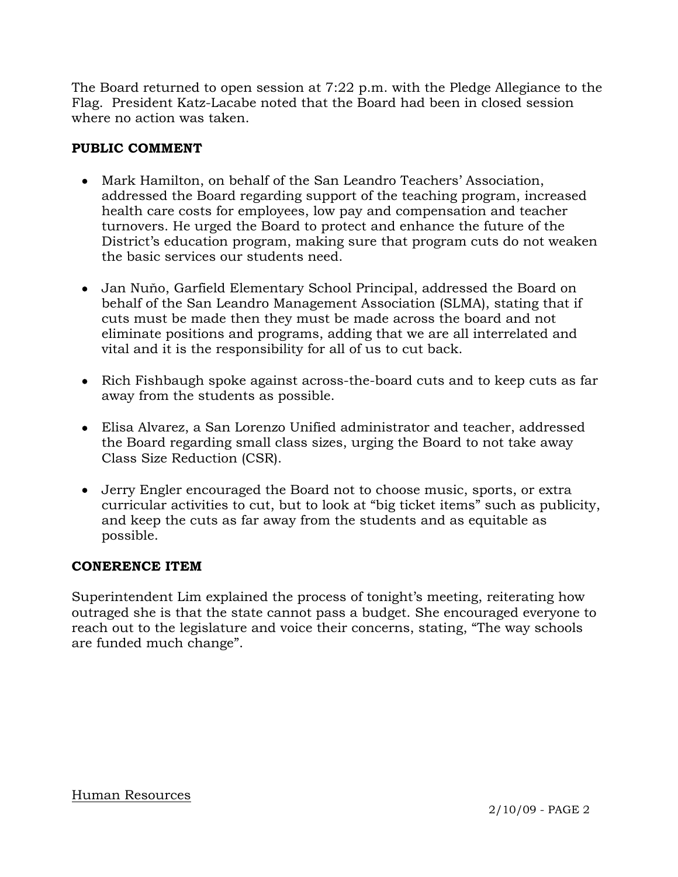The Board returned to open session at 7:22 p.m. with the Pledge Allegiance to the Flag. President Katz-Lacabe noted that the Board had been in closed session where no action was taken.

# **PUBLIC COMMENT**

- Mark Hamilton, on behalf of the San Leandro Teachers' Association, addressed the Board regarding support of the teaching program, increased health care costs for employees, low pay and compensation and teacher turnovers. He urged the Board to protect and enhance the future of the District's education program, making sure that program cuts do not weaken the basic services our students need.
- Jan Nuňo, Garfield Elementary School Principal, addressed the Board on behalf of the San Leandro Management Association (SLMA), stating that if cuts must be made then they must be made across the board and not eliminate positions and programs, adding that we are all interrelated and vital and it is the responsibility for all of us to cut back.
- Rich Fishbaugh spoke against across-the-board cuts and to keep cuts as far away from the students as possible.
- Elisa Alvarez, a San Lorenzo Unified administrator and teacher, addressed the Board regarding small class sizes, urging the Board to not take away Class Size Reduction (CSR).
- Jerry Engler encouraged the Board not to choose music, sports, or extra curricular activities to cut, but to look at "big ticket items" such as publicity, and keep the cuts as far away from the students and as equitable as possible.

## **CONERENCE ITEM**

Superintendent Lim explained the process of tonight's meeting, reiterating how outraged she is that the state cannot pass a budget. She encouraged everyone to reach out to the legislature and voice their concerns, stating, "The way schools are funded much change".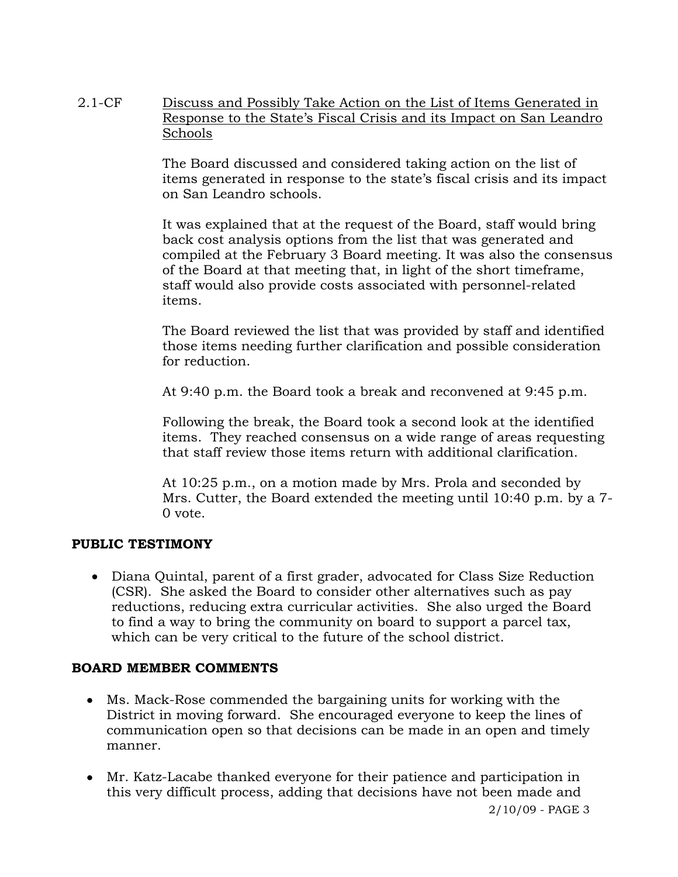2.1-CF Discuss and Possibly Take Action on the List of Items Generated in Response to the State's Fiscal Crisis and its Impact on San Leandro Schools

> The Board discussed and considered taking action on the list of items generated in response to the state's fiscal crisis and its impact on San Leandro schools.

It was explained that at the request of the Board, staff would bring back cost analysis options from the list that was generated and compiled at the February 3 Board meeting. It was also the consensus of the Board at that meeting that, in light of the short timeframe, staff would also provide costs associated with personnel-related items.

The Board reviewed the list that was provided by staff and identified those items needing further clarification and possible consideration for reduction.

At 9:40 p.m. the Board took a break and reconvened at 9:45 p.m.

Following the break, the Board took a second look at the identified items. They reached consensus on a wide range of areas requesting that staff review those items return with additional clarification.

At 10:25 p.m., on a motion made by Mrs. Prola and seconded by Mrs. Cutter, the Board extended the meeting until 10:40 p.m. by a 7- 0 vote.

# **PUBLIC TESTIMONY**

• Diana Quintal, parent of a first grader, advocated for Class Size Reduction (CSR). She asked the Board to consider other alternatives such as pay reductions, reducing extra curricular activities. She also urged the Board to find a way to bring the community on board to support a parcel tax, which can be very critical to the future of the school district.

## **BOARD MEMBER COMMENTS**

- Ms. Mack-Rose commended the bargaining units for working with the District in moving forward. She encouraged everyone to keep the lines of communication open so that decisions can be made in an open and timely manner.
- Mr. Katz-Lacabe thanked everyone for their patience and participation in this very difficult process, adding that decisions have not been made and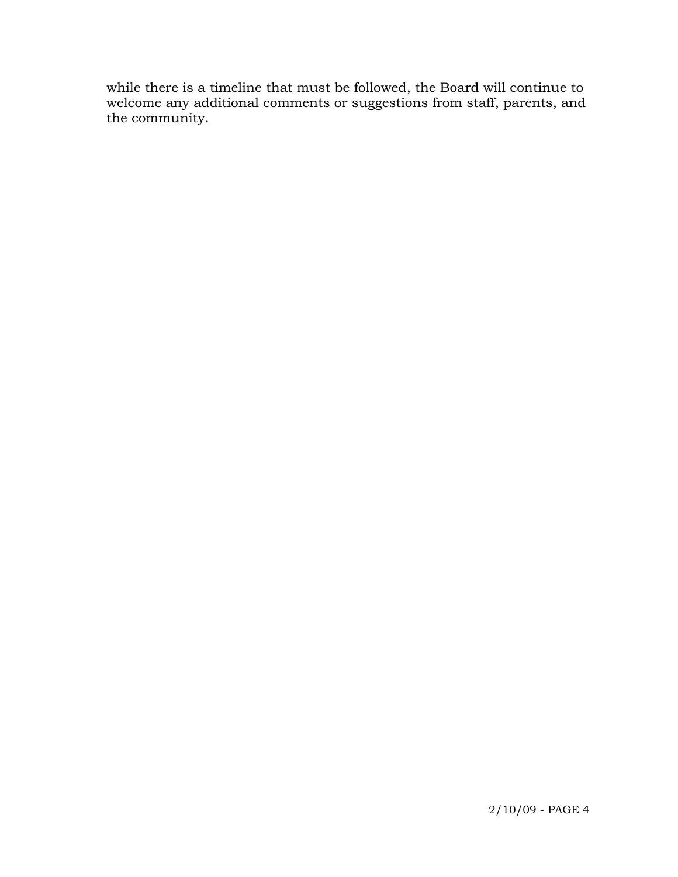while there is a timeline that must be followed, the Board will continue to welcome any additional comments or suggestions from staff, parents, and the community.